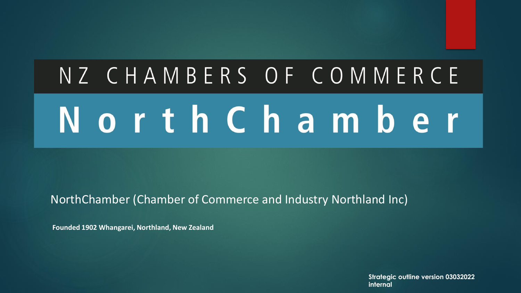## NZ CHAMBERS OF COMMERCE North Chamber

NorthChamber (Chamber of Commerce and Industry Northland Inc)

**Founded 1902 Whangarei, Northland, New Zealand**

**Strategic outline version 03032022 internal**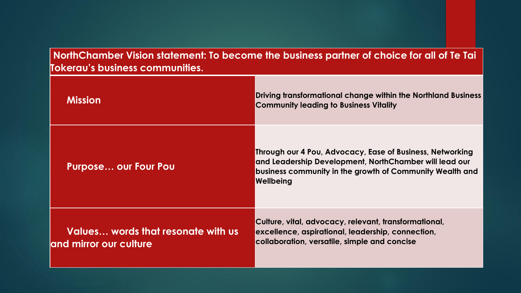**NorthChamber Vision statement: To become the business partner of choice for all of Te Tai Tokerau's business communities.**

| <b>Mission</b>                                               | Driving transformational change within the Northland Business<br><b>Community leading to Business Vitality</b>                                                                               |
|--------------------------------------------------------------|----------------------------------------------------------------------------------------------------------------------------------------------------------------------------------------------|
| <b>Purpose our Four Pou</b>                                  | Through our 4 Pou, Advocacy, Ease of Business, Networking<br>and Leadership Development, NorthChamber will lead our<br>business community in the growth of Community Wealth and<br>Wellbeing |
| Values words that resonate with us<br>and mirror our culture | Culture, vital, advocacy, relevant, transformational,<br>excellence, aspirational, leadership, connection,<br>collaboration, versatile, simple and concise                                   |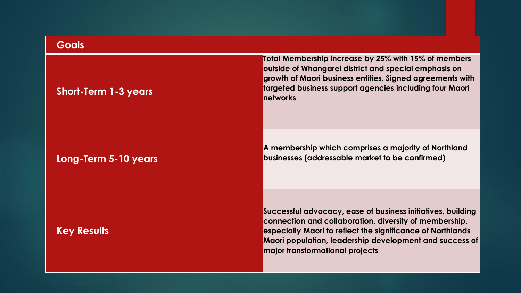| <b>Goals</b>                |                                                                                                                                                                                                                                                                                   |
|-----------------------------|-----------------------------------------------------------------------------------------------------------------------------------------------------------------------------------------------------------------------------------------------------------------------------------|
| <b>Short-Term 1-3 years</b> | Total Membership increase by 25% with 15% of members<br>outside of Whangarei district and special emphasis on<br>growth of Maori business entities. Signed agreements with<br>targeted business support agencies including four Maori<br><b>networks</b>                          |
| Long-Term 5-10 years        | A membership which comprises a majority of Northland<br>businesses (addressable market to be confirmed)                                                                                                                                                                           |
| <b>Key Results</b>          | Successful advocacy, ease of business initiatives, building<br>connection and collaboration, diversity of membership,<br>especially Maori to reflect the significance of Northlands<br>Maori population, leadership development and success of<br>major transformational projects |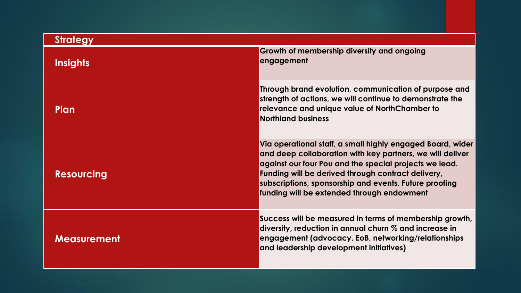| <b>Strategy</b>    |                                                                                                                                                                                                                                                                                                                                                 |  |
|--------------------|-------------------------------------------------------------------------------------------------------------------------------------------------------------------------------------------------------------------------------------------------------------------------------------------------------------------------------------------------|--|
| <b>Insights</b>    | Growth of membership diversity and ongoing<br>engagement                                                                                                                                                                                                                                                                                        |  |
| Plan               | Through brand evolution, communication of purpose and<br>strength of actions, we will continue to demonstrate the<br>relevance and unique value of NorthChamber to<br><b>Northland business</b>                                                                                                                                                 |  |
| <b>Resourcing</b>  | Via operational staff, a small highly engaged Board, wider<br>and deep collaboration with key partners, we will deliver<br>against our four Pou and the special projects we lead.<br>Funding will be derived through contract delivery,<br>subscriptions, sponsorship and events. Future proofing<br>funding will be extended through endowment |  |
| <b>Measurement</b> | Success will be measured in terms of membership growth,<br>diversity, reduction in annual churn % and increase in<br>engagement (advocacy, EoB, networking/relationships<br>and leadership development initiatives)                                                                                                                             |  |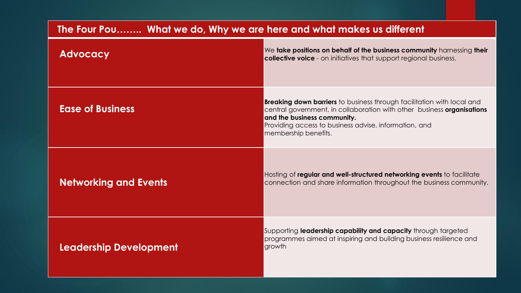| The Four Pou What we do, Why we are here and what makes us different |                                                                                                                                                                                                                                                                         |  |
|----------------------------------------------------------------------|-------------------------------------------------------------------------------------------------------------------------------------------------------------------------------------------------------------------------------------------------------------------------|--|
| <b>Advocacy</b>                                                      | We take positions on behalf of the business community harnessing their<br><b>collective voice</b> - on initiatives that support regional business.                                                                                                                      |  |
| <b>Ease of Business</b>                                              | <b>Breaking down barriers</b> to business through facilitation with local and<br>central government, in collaboration with other business organisations<br>and the business community.<br>Providing access to business advise, information, and<br>membership benefits. |  |
| <b>Networking and Events</b>                                         | Hosting of regular and well-structured networking events to facilitate<br>connection and share information throughout the business community.                                                                                                                           |  |
| Leadership Development                                               | Supporting leadership capability and capacity through targeted<br>programmes aimed at inspiring and building business resilience and<br>growth                                                                                                                          |  |